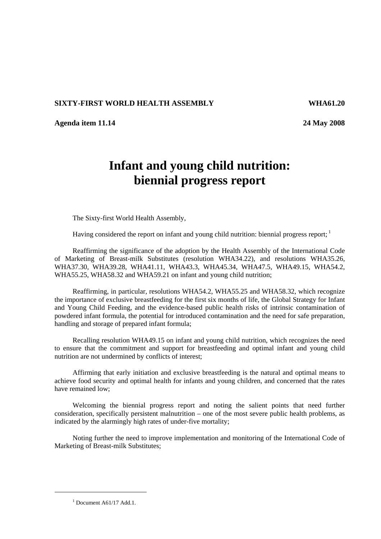## **SIXTY-FIRST WORLD HEALTH ASSEMBLY WHA61.20**

**Agenda item 11.14 24 May 2008** 

## **Infant and young child nutrition: biennial progress report**

The Sixty-first World Health Assembly,

Having considered the report on infant and young child nutrition: biennial progress report;  $\frac{1}{1}$ 

Reaffirming the significance of the adoption by the Health Assembly of the International Code of Marketing of Breast-milk Substitutes (resolution WHA34.22), and resolutions WHA35.26, WHA37.30, WHA39.28, WHA41.11, WHA43.3, WHA45.34, WHA47.5, WHA49.15, WHA54.2, WHA55.25, WHA58.32 and WHA59.21 on infant and young child nutrition;

Reaffirming, in particular, resolutions WHA54.2, WHA55.25 and WHA58.32, which recognize the importance of exclusive breastfeeding for the first six months of life, the Global Strategy for Infant and Young Child Feeding, and the evidence-based public health risks of intrinsic contamination of powdered infant formula, the potential for introduced contamination and the need for safe preparation, handling and storage of prepared infant formula;

Recalling resolution WHA49.15 on infant and young child nutrition, which recognizes the need to ensure that the commitment and support for breastfeeding and optimal infant and young child nutrition are not undermined by conflicts of interest;

Affirming that early initiation and exclusive breastfeeding is the natural and optimal means to achieve food security and optimal health for infants and young children, and concerned that the rates have remained low;

Welcoming the biennial progress report and noting the salient points that need further consideration, specifically persistent malnutrition – one of the most severe public health problems, as indicated by the alarmingly high rates of under-five mortality;

Noting further the need to improve implementation and monitoring of the International Code of Marketing of Breast-milk Substitutes;

 $1$  Document A61/17 Add.1.

 $\overline{a}$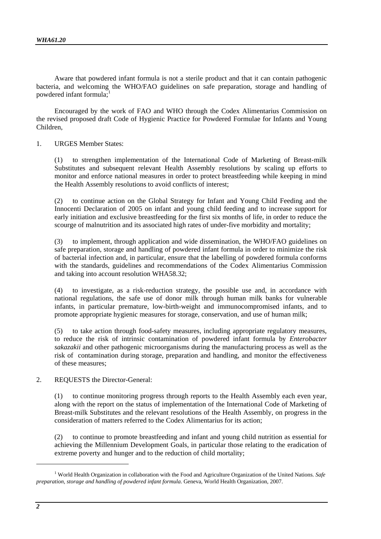Aware that powdered infant formula is not a sterile product and that it can contain pathogenic bacteria, and welcoming the WHO/FAO guidelines on safe preparation, storage and handling of powdered infant formula;

Encouraged by the work of FAO and WHO through the Codex Alimentarius Commission on the revised proposed draft Code of Hygienic Practice for Powdered Formulae for Infants and Young Children,

1. URGES Member States:

(1) to strengthen implementation of the International Code of Marketing of Breast-milk Substitutes and subsequent relevant Health Assembly resolutions by scaling up efforts to monitor and enforce national measures in order to protect breastfeeding while keeping in mind the Health Assembly resolutions to avoid conflicts of interest;

(2) to continue action on the Global Strategy for Infant and Young Child Feeding and the Innocenti Declaration of 2005 on infant and young child feeding and to increase support for early initiation and exclusive breastfeeding for the first six months of life, in order to reduce the scourge of malnutrition and its associated high rates of under-five morbidity and mortality;

(3) to implement, through application and wide dissemination, the WHO/FAO guidelines on safe preparation, storage and handling of powdered infant formula in order to minimize the risk of bacterial infection and, in particular, ensure that the labelling of powdered formula conforms with the standards, guidelines and recommendations of the Codex Alimentarius Commission and taking into account resolution WHA58.32;

(4) to investigate, as a risk-reduction strategy, the possible use and, in accordance with national regulations, the safe use of donor milk through human milk banks for vulnerable infants, in particular premature, low-birth-weight and immunocompromised infants, and to promote appropriate hygienic measures for storage, conservation, and use of human milk;

(5) to take action through food-safety measures, including appropriate regulatory measures, to reduce the risk of intrinsic contamination of powdered infant formula by *Enterobacter sakazakii* and other pathogenic microorganisms during the manufacturing process as well as the risk of contamination during storage, preparation and handling, and monitor the effectiveness of these measures;

2. REQUESTS the Director-General:

(1) to continue monitoring progress through reports to the Health Assembly each even year, along with the report on the status of implementation of the International Code of Marketing of Breast-milk Substitutes and the relevant resolutions of the Health Assembly, on progress in the consideration of matters referred to the Codex Alimentarius for its action;

(2) to continue to promote breastfeeding and infant and young child nutrition as essential for achieving the Millennium Development Goals, in particular those relating to the eradication of extreme poverty and hunger and to the reduction of child mortality;

 $\overline{a}$ 

<sup>1</sup> World Health Organization in collaboration with the Food and Agriculture Organization of the United Nations. *Safe preparation, storage and handling of powdered infant formula*. Geneva, World Health Organization, 2007.